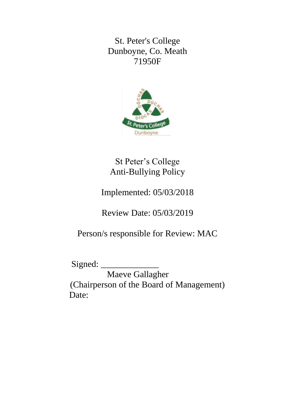St. Peter's College Dunboyne, Co. Meath 71950F



St Peter's College Anti-Bullying Policy

Implemented: 05/03/2018

Review Date: 05/03/2019

Person/s responsible for Review: MAC

Signed: \_\_\_\_\_\_\_\_\_\_\_\_\_

Maeve Gallagher (Chairperson of the Board of Management) Date: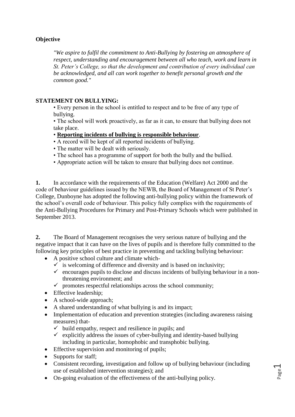## **Objective**

*"We aspire to fulfil the commitment to Anti-Bullying by fostering an atmosphere of respect, understanding and encouragement between all who teach, work and learn in St. Peter's College, so that the development and contribution of every individual can be acknowledged, and all can work together to benefit personal growth and the common good."*

### **STATEMENT ON BULLYING:**

• Every person in the school is entitled to respect and to be free of any type of bullying.

• The school will work proactively, as far as it can, to ensure that bullying does not take place.

#### • **Reporting incidents of bullying is responsible behaviour**.

- A record will be kept of all reported incidents of bullying.
- The matter will be dealt with seriously.
- The school has a programme of support for both the bully and the bullied.
- Appropriate action will be taken to ensure that bullying does not continue.

**1.** In accordance with the requirements of the Education (Welfare) Act 2000 and the code of behaviour guidelines issued by the NEWB, the Board of Management of St Peter's College, Dunboyne has adopted the following anti-bullying policy within the framework of the school's overall code of behaviour. This policy fully complies with the requirements of the Anti-Bullying Procedures for Primary and Post-Primary Schools which were published in September 2013.

**2.** The Board of Management recognises the very serious nature of bullying and the negative impact that it can have on the lives of pupils and is therefore fully committed to the following key principles of best practice in preventing and tackling bullying behaviour:

- A positive school culture and climate which-
	- $\checkmark$  is welcoming of difference and diversity and is based on inclusivity;
	- $\checkmark$  encourages pupils to disclose and discuss incidents of bullying behaviour in a nonthreatening environment; and
	- $\checkmark$  promotes respectful relationships across the school community;
- Effective leadership;
- A school-wide approach;
- A shared understanding of what bullying is and its impact;
- Implementation of education and prevention strategies (including awareness raising measures) that-
	- $\checkmark$  build empathy, respect and resilience in pupils; and
	- $\checkmark$  explicitly address the issues of cyber-bullying and identity-based bullying including in particular, homophobic and transphobic bullying.
- Effective supervision and monitoring of pupils;
- Supports for staff:
- Consistent recording, investigation and follow up of bullying behaviour (including use of established intervention strategies); and
- On-going evaluation of the effectiveness of the anti-bullying policy.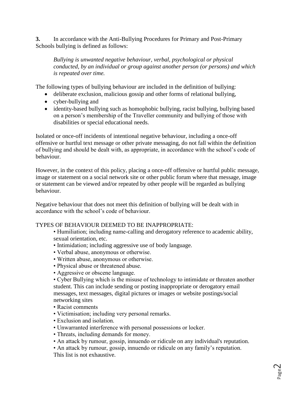**3.** In accordance with the Anti-Bullying Procedures for Primary and Post-Primary Schools bullying is defined as follows:

*Bullying is unwanted negative behaviour, verbal, psychological or physical conducted, by an individual or group against another person (or persons) and which is repeated over time.*

The following types of bullying behaviour are included in the definition of bullying:

- deliberate exclusion, malicious gossip and other forms of relational bullying,
- cyber-bullying and
- identity-based bullying such as homophobic bullying, racist bullying, bullying based on a person's membership of the Traveller community and bullying of those with disabilities or special educational needs.

Isolated or once-off incidents of intentional negative behaviour, including a once-off offensive or hurtful text message or other private messaging, do not fall within the definition of bullying and should be dealt with, as appropriate, in accordance with the school's code of behaviour.

However, in the context of this policy, placing a once-off offensive or hurtful public message, image or statement on a social network site or other public forum where that message, image or statement can be viewed and/or repeated by other people will be regarded as bullying behaviour.

Negative behaviour that does not meet this definition of bullying will be dealt with in accordance with the school's code of behaviour.

### TYPES OF BEHAVIOUR DEEMED TO BE INAPPROPRIATE:

• Humiliation; including name-calling and derogatory reference to academic ability, sexual orientation, etc.

- Intimidation; including aggressive use of body language.
- Verbal abuse, anonymous or otherwise.
- Written abuse, anonymous or otherwise.
- Physical abuse or threatened abuse.
- Aggressive or obscene language.

• Cyber Bullying which is the misuse of technology to intimidate or threaten another student. This can include sending or posting inappropriate or derogatory email messages, text messages, digital pictures or images or website postings/social networking sites

- Racist comments
- Victimisation; including very personal remarks.
- Exclusion and isolation.
- Unwarranted interference with personal possessions or locker.
- Threats, including demands for money.
- An attack by rumour, gossip, innuendo or ridicule on any individual's reputation.
- An attack by rumour, gossip, innuendo or ridicule on any family's reputation.
- This list is not exhaustive.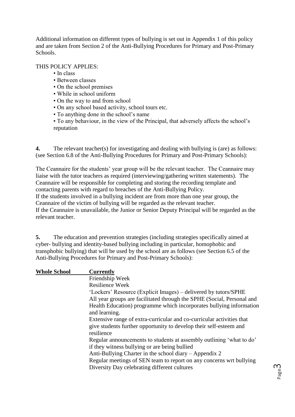Additional information on different types of bullying is set out in Appendix 1 of this policy and are taken from Section 2 of the Anti-Bullying Procedures for Primary and Post-Primary Schools.

THIS POLICY APPLIES:

- In class
- Between classes
- On the school premises
- While in school uniform
- On the way to and from school
- On any school based activity, school tours etc.
- To anything done in the school's name
- To any behaviour, in the view of the Principal, that adversely affects the school's reputation

**4.** The relevant teacher(s) for investigating and dealing with bullying is (are) as follows: (see Section 6.8 of the Anti-Bullying Procedures for Primary and Post-Primary Schools):

The Ceannaire for the students' year group will be the relevant teacher. The Ceannaire may liaise with the tutor teachers as required (interviewing/gathering written statements). The Ceannaire will be responsible for completing and storing the recording template and contacting parents with regard to breaches of the Anti-Bullying Policy. If the students involved in a bullying incident are from more than one year group, the Ceannaire of the victim of bullying will be regarded as the relevant teacher. If the Ceannaire is unavailable, the Junior or Senior Deputy Principal will be regarded as the relevant teacher.

**5.** The education and prevention strategies (including strategies specifically aimed at cyber- bullying and identity-based bullying including in particular, homophobic and transphobic bullying) that will be used by the school are as follows (see Section 6.5 of the Anti-Bullying Procedures for Primary and Post-Primary Schools):

| <b>Whole School</b> | <b>Currently</b>                                                                                                      |
|---------------------|-----------------------------------------------------------------------------------------------------------------------|
|                     | Friendship Week                                                                                                       |
|                     | <b>Resilience Week</b>                                                                                                |
|                     | 'Lockers' Resource (Explicit Images) – delivered by tutors/SPHE                                                       |
|                     | All year groups are facilitated through the SPHE (Social, Personal and                                                |
|                     | Health Education) programme which incorporates bullying information<br>and learning.                                  |
|                     | Extensive range of extra-curricular and co-curricular activities that                                                 |
|                     | give students further opportunity to develop their self-esteem and<br>resilience                                      |
|                     | Regular announcements to students at assembly outlining 'what to do'<br>if they witness bullying or are being bullied |
|                     | Anti-Bullying Charter in the school diary – Appendix 2                                                                |
|                     | Regular meetings of SEN team to report on any concerns wrt bullying                                                   |
|                     | Diversity Day celebrating different cultures                                                                          |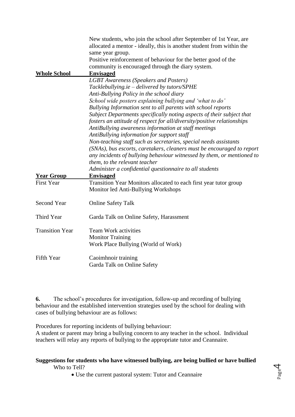|                        | New students, who join the school after September of 1st Year, are<br>allocated a mentor - ideally, this is another student from within the      |
|------------------------|--------------------------------------------------------------------------------------------------------------------------------------------------|
|                        | same year group.                                                                                                                                 |
|                        | Positive reinforcement of behaviour for the better good of the                                                                                   |
|                        | community is encouraged through the diary system.                                                                                                |
| <b>Whole School</b>    | <b>Envisaged</b>                                                                                                                                 |
|                        | <b>LGBT</b> Awareness (Speakers and Posters)                                                                                                     |
|                        | Tacklebullying.ie – delivered by tutors/SPHE                                                                                                     |
|                        | Anti-Bullying Policy in the school diary                                                                                                         |
|                        | School wide posters explaining bullying and 'what to do'                                                                                         |
|                        | Bullying Information sent to all parents with school reports                                                                                     |
|                        | Subject Departments specifically noting aspects of their subject that<br>fosters an attitude of respect for all/diversity/positive relationships |
|                        | AntiBullying awareness information at staff meetings                                                                                             |
|                        | AntiBullying information for support staff                                                                                                       |
|                        | Non-teaching staff such as secretaries, special needs assistants                                                                                 |
|                        | (SNAs), bus escorts, caretakers, cleaners must be encouraged to report                                                                           |
|                        | any incidents of bullying behaviour witnessed by them, or mentioned to                                                                           |
|                        | them, to the relevant teacher                                                                                                                    |
|                        | Administer a confidential questionnaire to all students                                                                                          |
| <b>Year Group</b>      | <b>Envisaged</b>                                                                                                                                 |
| <b>First Year</b>      | Transition Year Monitors allocated to each first year tutor group                                                                                |
|                        | Monitor led Anti-Bullying Workshops                                                                                                              |
| <b>Second Year</b>     | <b>Online Safety Talk</b>                                                                                                                        |
| Third Year             | Garda Talk on Online Safety, Harassment                                                                                                          |
| <b>Transition Year</b> | <b>Team Work activities</b>                                                                                                                      |
|                        | <b>Monitor Training</b>                                                                                                                          |
|                        | Work Place Bullying (World of Work)                                                                                                              |
| Fifth Year             | Caoimhnoir training                                                                                                                              |
|                        | Garda Talk on Online Safety                                                                                                                      |

**6.** The school's procedures for investigation, follow-up and recording of bullying behaviour and the established intervention strategies used by the school for dealing with cases of bullying behaviour are as follows:

Procedures for reporting incidents of bullying behaviour:

A student or parent may bring a bullying concern to any teacher in the school. Individual teachers will relay any reports of bullying to the appropriate tutor and Ceannaire.

#### **Suggestions for students who have witnessed bullying, are being bullied or have bullied**  Who to Tell?

Use the current pastoral system: Tutor and Ceannaire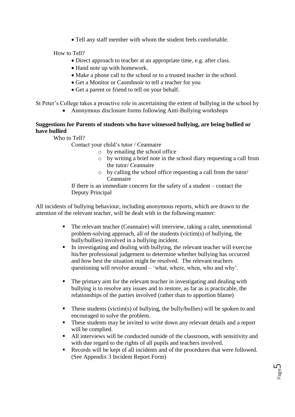Tell any staff member with whom the student feels comfortable.

How to Tell?

- Direct approach to teacher at an appropriate time, e.g. after class.
- Hand note up with homework.
- Make a phone call to the school or to a trusted teacher in the school.
- Get a Monitor or Caomhnoir to tell a teacher for you
- Get a parent or friend to tell on your behalf.

St Peter's College takes a proactive role in ascertaining the extent of bullying in the school by

• Anonymous disclosure forms following Anti-Bullying workshops

## **Suggestions for Parents of students who have witnessed bullying, are being bullied or have bullied**

Who to Tell?

Contact your child's tutor / Ceannaire

- o by emailing the school office
- o by writing a brief note in the school diary requesting a call from the tutor/ Ceannaire
- o by calling the school office requesting a call from the tutor/ Ceannaire

If there is an immediate concern for the safety of a student – contact the Deputy Principal

All incidents of bullying behaviour, including anonymous reports, which are drawn to the attention of the relevant teacher, will be dealt with in the following manner:

- The relevant teacher (Ceannaire) will interview, taking a calm, unemotional problem-solving approach, all of the students (victim(s) of bullying, the bully/bullies) involved in a bullying incident.
- In investigating and dealing with bullying, the relevant teacher will exercise his/her professional judgement to determine whether bullying has occurred and how best the situation might be resolved. The relevant teachers questioning will revolve around – 'what, where, when, who and why'.
- The primary aim for the relevant teacher in investigating and dealing with bullying is to resolve any issues and to restore, as far as is practicable, the relationships of the parties involved (rather than to apportion blame)
- These students (victim(s) of bullying, the bully/bullies) will be spoken to and encouraged to solve the problem.
- These students may be invited to write down any relevant details and a report will be complied.
- All interviews will be conducted outside of the classroom, with sensitivity and with due regard to the rights of all pupils and teachers involved.
- Records will be kept of all incidents and of the procedures that were followed. (See Appendix 3 Incident Report Form)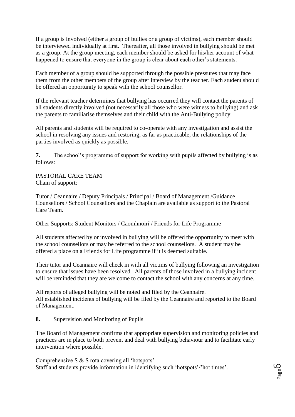If a group is involved (either a group of bullies or a group of victims), each member should be interviewed individually at first. Thereafter, all those involved in bullying should be met as a group. At the group meeting, each member should be asked for his/her account of what happened to ensure that everyone in the group is clear about each other's statements.

Each member of a group should be supported through the possible pressures that may face them from the other members of the group after interview by the teacher. Each student should be offered an opportunity to speak with the school counsellor.

If the relevant teacher determines that bullying has occurred they will contact the parents of all students directly involved (not necessarily all those who were witness to bullying) and ask the parents to familiarise themselves and their child with the Anti-Bullying policy.

All parents and students will be required to co-operate with any investigation and assist the school in resolving any issues and restoring, as far as practicable, the relationships of the parties involved as quickly as possible.

**7.** The school's programme of support for working with pupils affected by bullying is as follows:

PASTORAL CARE TEAM Chain of support:

Tutor / Ceannaire / Deputy Principals / Principal / Board of Management /Guidance Counsellors / School Counsellors and the Chaplain are available as support to the Pastoral Care Team.

Other Supports: Student Monitors / Caomhnoirí / Friends for Life Programme

All students affected by or involved in bullying will be offered the opportunity to meet with the school counsellors or may be referred to the school counsellors. A student may be offered a place on a Friends for Life programme if it is deemed suitable.

Their tutor and Ceannaire will check in with all victims of bullying following an investigation to ensure that issues have been resolved. All parents of those involved in a bullying incident will be reminded that they are welcome to contact the school with any concerns at any time.

All reports of alleged bullying will be noted and filed by the Ceannaire. All established incidents of bullying will be filed by the Ceannaire and reported to the Board of Management.

#### **8.** Supervision and Monitoring of Pupils

The Board of Management confirms that appropriate supervision and monitoring policies and practices are in place to both prevent and deal with bullying behaviour and to facilitate early intervention where possible.

Comprehensive S & S rota covering all 'hotspots'. Staff and students provide information in identifying such 'hotspots'/'hot times'.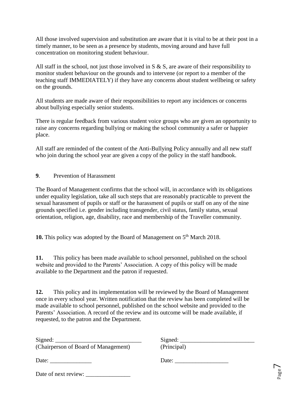All those involved supervision and substitution are aware that it is vital to be at their post in a timely manner, to be seen as a presence by students, moving around and have full concentration on monitoring student behaviour.

All staff in the school, not just those involved in S & S, are aware of their responsibility to monitor student behaviour on the grounds and to intervene (or report to a member of the teaching staff IMMEDIATELY) if they have any concerns about student wellbeing or safety on the grounds.

All students are made aware of their responsibilities to report any incidences or concerns about bullying especially senior students.

There is regular feedback from various student voice groups who are given an opportunity to raise any concerns regarding bullying or making the school community a safer or happier place.

All staff are reminded of the content of the Anti-Bullying Policy annually and all new staff who join during the school year are given a copy of the policy in the staff handbook.

**9**. Prevention of Harassment

The Board of Management confirms that the school will, in accordance with its obligations under equality legislation, take all such steps that are reasonably practicable to prevent the sexual harassment of pupils or staff or the harassment of pupils or staff on any of the nine grounds specified i.e. gender including transgender, civil status, family status, sexual orientation, religion, age, disability, race and membership of the Traveller community.

10. This policy was adopted by the Board of Management on 5<sup>th</sup> March 2018.

**11.** This policy has been made available to school personnel, published on the school website and provided to the Parents' Association. A copy of this policy will be made available to the Department and the patron if requested.

**12.** This policy and its implementation will be reviewed by the Board of Management once in every school year. Written notification that the review has been completed will be made available to school personnel, published on the school website and provided to the Parents' Association. A record of the review and its outcome will be made available, if requested, to the patron and the Department.

| Signed:                              |
|--------------------------------------|
| (Chairperson of Board of Management) |

Signed: \_\_\_\_\_\_\_\_\_\_\_\_\_\_\_\_\_\_\_\_\_\_\_\_\_\_\_\_\_ Signed: \_\_\_\_\_\_\_\_\_\_\_\_\_\_\_\_\_\_\_\_\_\_\_\_\_  $\frac{25.1644}{(Principal)}$ 

Date: \_\_\_\_\_\_\_\_\_\_\_\_\_\_ Date: \_\_\_\_\_\_\_\_\_\_\_\_\_\_\_\_\_\_

Date of next review: \_\_\_\_\_\_\_\_\_\_\_\_\_\_\_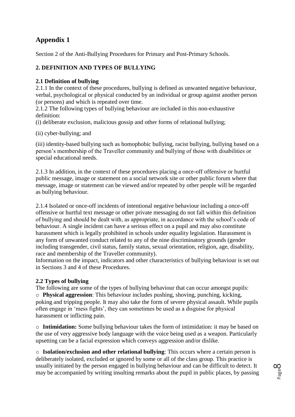# **Appendix 1**

Section 2 of the Anti-Bullying Procedures for Primary and Post-Primary Schools.

## **2. DEFINITION AND TYPES OF BULLYING**

## **2.1 Definition of bullying**

2.1.1 In the context of these procedures, bullying is defined as unwanted negative behaviour, verbal, psychological or physical conducted by an individual or group against another person (or persons) and which is repeated over time.

2.1.2 The following types of bullying behaviour are included in this non-exhaustive definition:

(i) deliberate exclusion, malicious gossip and other forms of relational bullying;

(ii) cyber-bullying; and

(iii) identity-based bullying such as homophobic bullying, racist bullying, bullying based on a person's membership of the Traveller community and bullying of those with disabilities or special educational needs.

2.1.3 In addition, in the context of these procedures placing a once-off offensive or hurtful public message, image or statement on a social network site or other public forum where that message, image or statement can be viewed and/or repeated by other people will be regarded as bullying behaviour.

2.1.4 Isolated or once-off incidents of intentional negative behaviour including a once-off offensive or hurtful text message or other private messaging do not fall within this definition of bullying and should be dealt with, as appropriate, in accordance with the school's code of behaviour. A single incident can have a serious effect on a pupil and may also constitute harassment which is legally prohibited in schools under equality legislation. Harassment is any form of unwanted conduct related to any of the nine discriminatory grounds (gender including transgender, civil status, family status, sexual orientation, religion, age, disability, race and membership of the Traveller community).

Information on the impact, indicators and other characteristics of bullying behaviour is set out in Sections 3 and 4 of these Procedures.

## **2.2 Types of bullying**

The following are some of the types of bullying behaviour that can occur amongst pupils: o **Physical aggression**: This behaviour includes pushing, shoving, punching, kicking, poking and tripping people. It may also take the form of severe physical assault. While pupils often engage in 'mess fights', they can sometimes be used as a disguise for physical harassment or inflicting pain.

o **Intimidation:** Some bullying behaviour takes the form of intimidation: it may be based on the use of very aggressive body language with the voice being used as a weapon. Particularly upsetting can be a facial expression which conveys aggression and/or dislike.

o **Isolation/exclusion and other relational bullying**: This occurs where a certain person is deliberately isolated, excluded or ignored by some or all of the class group. This practice is usually initiated by the person engaged in bullying behaviour and can be difficult to detect. It may be accompanied by writing insulting remarks about the pupil in public places, by passing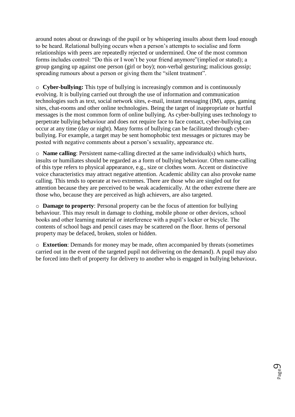around notes about or drawings of the pupil or by whispering insults about them loud enough to be heard. Relational bullying occurs when a person's attempts to socialise and form relationships with peers are repeatedly rejected or undermined. One of the most common forms includes control: "Do this or I won't be your friend anymore"(implied or stated); a group ganging up against one person (girl or boy); non-verbal gesturing; malicious gossip; spreading rumours about a person or giving them the "silent treatment".

o **Cyber-bullying:** This type of bullying is increasingly common and is continuously evolving. It is bullying carried out through the use of information and communication technologies such as text, social network sites, e-mail, instant messaging (IM), apps, gaming sites, chat-rooms and other online technologies. Being the target of inappropriate or hurtful messages is the most common form of online bullying. As cyber-bullying uses technology to perpetrate bullying behaviour and does not require face to face contact, cyber-bullying can occur at any time (day or night). Many forms of bullying can be facilitated through cyberbullying. For example, a target may be sent homophobic text messages or pictures may be posted with negative comments about a person's sexuality, appearance etc.

o **Name calling**: Persistent name-calling directed at the same individual(s) which hurts, insults or humiliates should be regarded as a form of bullying behaviour. Often name-calling of this type refers to physical appearance, e.g., size or clothes worn. Accent or distinctive voice characteristics may attract negative attention. Academic ability can also provoke name calling. This tends to operate at two extremes. There are those who are singled out for attention because they are perceived to be weak academically. At the other extreme there are those who, because they are perceived as high achievers, are also targeted.

o **Damage to property**: Personal property can be the focus of attention for bullying behaviour. This may result in damage to clothing, mobile phone or other devices, school books and other learning material or interference with a pupil's locker or bicycle. The contents of school bags and pencil cases may be scattered on the floor. Items of personal property may be defaced, broken, stolen or hidden.

o **Extortion**: Demands for money may be made, often accompanied by threats (sometimes carried out in the event of the targeted pupil not delivering on the demand). A pupil may also be forced into theft of property for delivery to another who is engaged in bullying behaviour**.**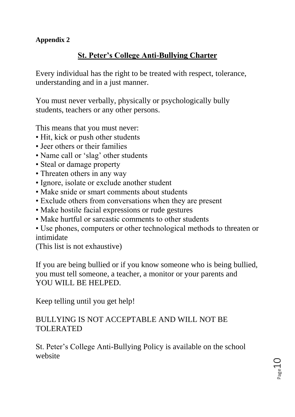# **Appendix 2**

# **St. Peter's College Anti-Bullying Charter**

Every individual has the right to be treated with respect, tolerance, understanding and in a just manner.

You must never verbally, physically or psychologically bully students, teachers or any other persons.

This means that you must never:

- Hit, kick or push other students
- Jeer others or their families
- Name call or 'slag' other students
- Steal or damage property
- Threaten others in any way
- Ignore, isolate or exclude another student
- Make snide or smart comments about students
- Exclude others from conversations when they are present
- Make hostile facial expressions or rude gestures
- Make hurtful or sarcastic comments to other students
- Use phones, computers or other technological methods to threaten or intimidate

(This list is not exhaustive)

If you are being bullied or if you know someone who is being bullied, you must tell someone, a teacher, a monitor or your parents and YOU WILL BE HELPED.

Keep telling until you get help!

# BULLYING IS NOT ACCEPTABLE AND WILL NOT BE TOLERATED

St. Peter's College Anti-Bullying Policy is available on the school website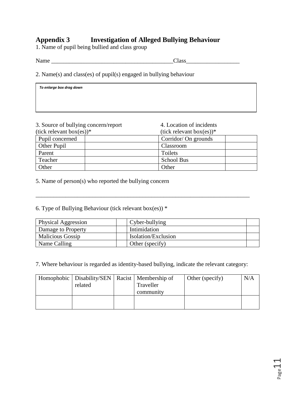# **Appendix 3 Investigation of Alleged Bullying Behaviour**

1. Name of pupil being bullied and class group

*To enlarge box drag down*

Name \_\_\_\_\_\_\_\_\_\_\_\_\_\_\_\_\_\_\_\_\_\_\_\_\_\_\_\_\_\_\_\_\_\_\_\_\_\_\_\_\_Class\_\_\_\_\_\_\_\_\_\_\_\_\_\_\_\_\_\_

2. Name(s) and class(es) of pupil(s) engaged in bullying behaviour

| 3. Source of bullying concern/report | 4. Location of incidents       |  |
|--------------------------------------|--------------------------------|--|
| $(tick$ relevant box $(es))^*$       | $(tick$ relevant box $(es))^*$ |  |
| Pupil concerned                      | Corridor/ On grounds           |  |
| Other Pupil                          | Classroom                      |  |
| Parent                               | Toilets                        |  |
| Teacher                              | <b>School Bus</b>              |  |
| Other                                | Other                          |  |

5. Name of person(s) who reported the bullying concern

6. Type of Bullying Behaviour (tick relevant box(es))  $*$ 

| Physical Aggression     | $\Gamma$ Cyber-bullying |  |
|-------------------------|-------------------------|--|
| Damage to Property      | Intimidation            |  |
| <b>Malicious Gossip</b> | Isolation/Exclusion     |  |
| Name Calling            | Other (specify)         |  |

\_\_\_\_\_\_\_\_\_\_\_\_\_\_\_\_\_\_\_\_\_\_\_\_\_\_\_\_\_\_\_\_\_\_\_\_\_\_\_\_\_\_\_\_\_\_\_\_\_\_\_\_\_\_\_\_\_\_\_\_\_\_\_\_\_\_\_\_\_\_\_\_

7. Where behaviour is regarded as identity-based bullying, indicate the relevant category:

| Homophobic   Disability/SEN   Racist   Membership of<br>related | Traveller<br>community | Other (specify) | N/A |
|-----------------------------------------------------------------|------------------------|-----------------|-----|
|                                                                 |                        |                 |     |

Page11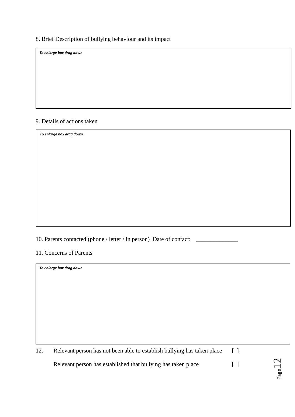## 8. Brief Description of bullying behaviour and its impact

*To enlarge box drag down*

#### 9. Details of actions taken

*To enlarge box drag down*

10. Parents contacted (phone / letter / in person) Date of contact: \_

11. Concerns of Parents

*To enlarge box drag down*

| 12. | Relevant person has not been able to establish bullying has taken place |  |
|-----|-------------------------------------------------------------------------|--|
|     | Relevant person has established that bullying has taken place           |  |